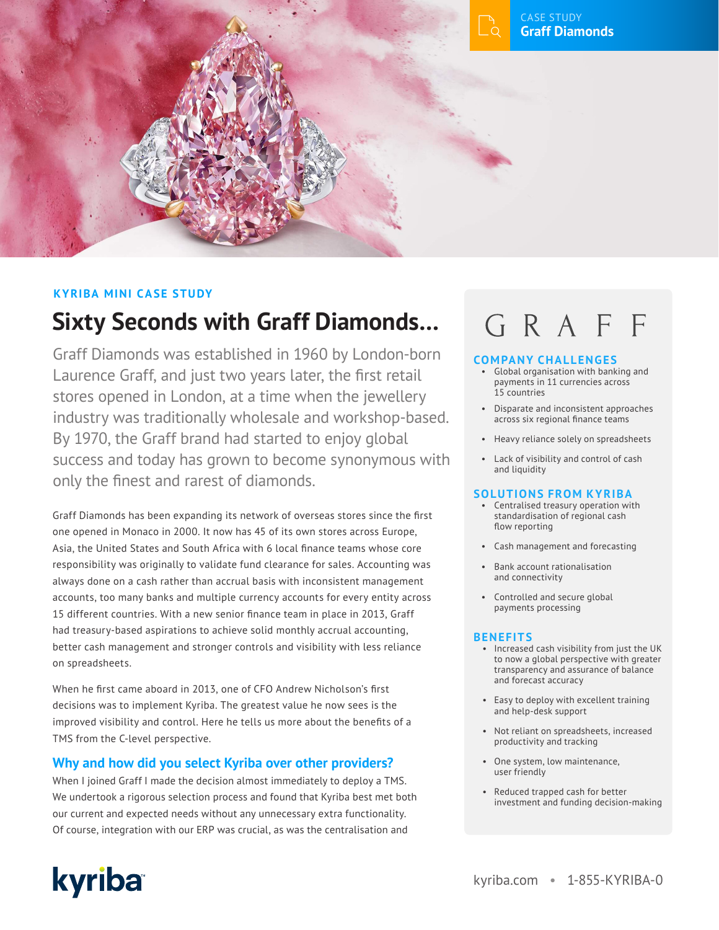

## **KYRIBA MINI CASE STUDY**

## **Sixty Seconds with Graff Diamonds…**

Graff Diamonds was established in 1960 by London-born Laurence Graff, and just two years later, the first retail stores opened in London, at a time when the jewellery industry was traditionally wholesale and workshop-based. By 1970, the Graff brand had started to enjoy global success and today has grown to become synonymous with only the finest and rarest of diamonds.

Graff Diamonds has been expanding its network of overseas stores since the first one opened in Monaco in 2000. It now has 45 of its own stores across Europe, Asia, the United States and South Africa with 6 local finance teams whose core responsibility was originally to validate fund clearance for sales. Accounting was always done on a cash rather than accrual basis with inconsistent management accounts, too many banks and multiple currency accounts for every entity across 15 different countries. With a new senior finance team in place in 2013, Graff had treasury-based aspirations to achieve solid monthly accrual accounting, better cash management and stronger controls and visibility with less reliance on spreadsheets.

When he first came aboard in 2013, one of CFO Andrew Nicholson's first decisions was to implement Kyriba. The greatest value he now sees is the improved visibility and control. Here he tells us more about the benefits of a TMS from the C-level perspective.

### **Why and how did you select Kyriba over other providers?**

kyriba

When I joined Graff I made the decision almost immediately to deploy a TMS. We undertook a rigorous selection process and found that Kyriba best met both our current and expected needs without any unnecessary extra functionality. Of course, integration with our ERP was crucial, as was the centralisation and

# GRAFF

#### **COMPANY CHALLENGES**

- Global organisation with banking and payments in 11 currencies across 15 countries
- Disparate and inconsistent approaches across six regional finance teams
- Heavy reliance solely on spreadsheets
- Lack of visibility and control of cash and liquidity

#### **SOLUTIONS FROM KYRIBA**

- Centralised treasury operation with standardisation of regional cash flow reporting
- Cash management and forecasting
- Bank account rationalisation and connectivity
- Controlled and secure global payments processing

#### **BENEFITS**

- Increased cash visibility from just the UK to now a global perspective with greater transparency and assurance of balance and forecast accuracy
- Easy to deploy with excellent training and help-desk support
- Not reliant on spreadsheets, increased productivity and tracking
- One system, low maintenance, user friendly
- Reduced trapped cash for better investment and funding decision-making